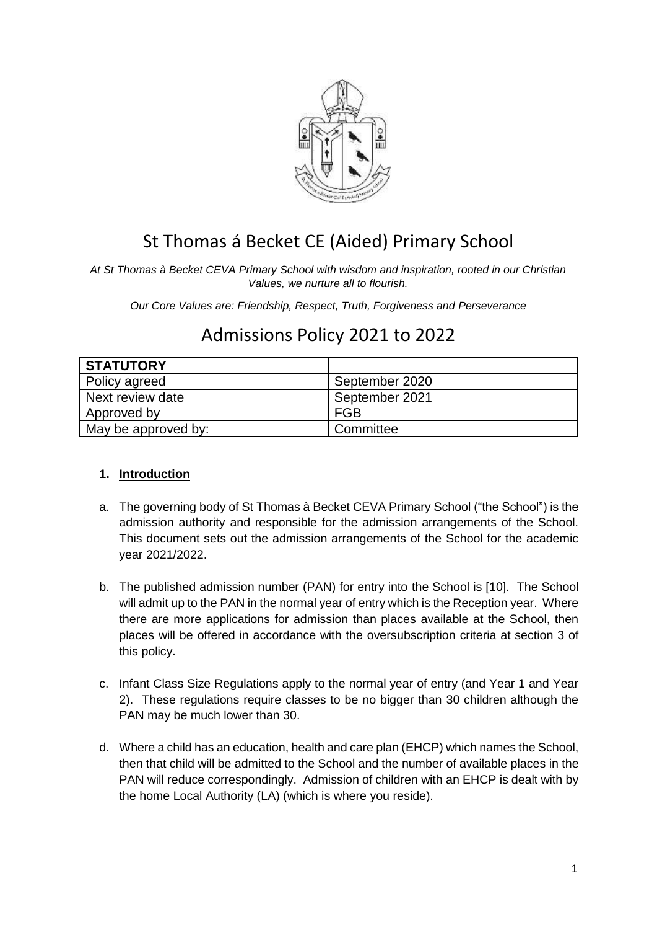

# St Thomas á Becket CE (Aided) Primary School

*At St Thomas à Becket CEVA Primary School with wisdom and inspiration, rooted in our Christian Values, we nurture all to flourish.*

*Our Core Values are: Friendship, Respect, Truth, Forgiveness and Perseverance*

# **STATUTORY** Policy agreed September 2020 Next review date September 2021 Approved by  $\vert$  FGB May be approved by: <br> Committee

# Admissions Policy 2021 to 2022

## **1. Introduction**

- a. The governing body of St Thomas à Becket CEVA Primary School ("the School") is the admission authority and responsible for the admission arrangements of the School. This document sets out the admission arrangements of the School for the academic year 2021/2022.
- b. The published admission number (PAN) for entry into the School is [10]. The School will admit up to the PAN in the normal year of entry which is the Reception year. Where there are more applications for admission than places available at the School, then places will be offered in accordance with the oversubscription criteria at section 3 of this policy.
- c. Infant Class Size Regulations apply to the normal year of entry (and Year 1 and Year 2). These regulations require classes to be no bigger than 30 children although the PAN may be much lower than 30.
- d. Where a child has an education, health and care plan (EHCP) which names the School, then that child will be admitted to the School and the number of available places in the PAN will reduce correspondingly. Admission of children with an EHCP is dealt with by the home Local Authority (LA) (which is where you reside).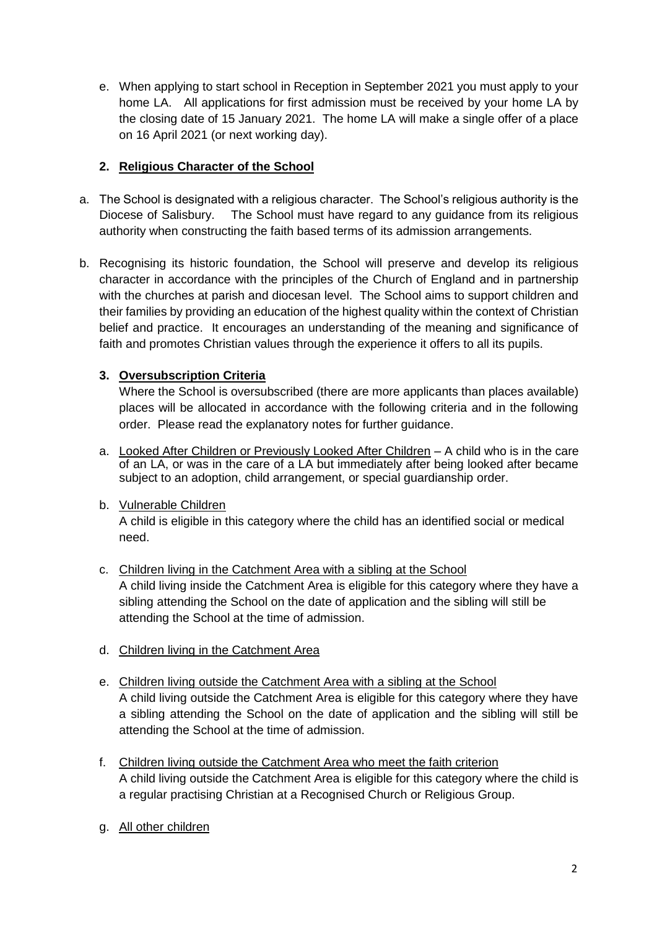e. When applying to start school in Reception in September 2021 you must apply to your home LA. All applications for first admission must be received by your home LA by the closing date of 15 January 2021. The home LA will make a single offer of a place on 16 April 2021 (or next working day).

# **2. Religious Character of the School**

- a. The School is designated with a religious character. The School's religious authority is the Diocese of Salisbury. The School must have regard to any guidance from its religious authority when constructing the faith based terms of its admission arrangements.
- b. Recognising its historic foundation, the School will preserve and develop its religious character in accordance with the principles of the Church of England and in partnership with the churches at parish and diocesan level. The School aims to support children and their families by providing an education of the highest quality within the context of Christian belief and practice. It encourages an understanding of the meaning and significance of faith and promotes Christian values through the experience it offers to all its pupils.

# **3. Oversubscription Criteria**

Where the School is oversubscribed (there are more applicants than places available) places will be allocated in accordance with the following criteria and in the following order. Please read the explanatory notes for further guidance.

- a. Looked After Children or Previously Looked After Children A child who is in the care of an LA, or was in the care of a LA but immediately after being looked after became subject to an adoption, child arrangement, or special guardianship order.
- b. Vulnerable Children

A child is eligible in this category where the child has an identified social or medical need.

- c. Children living in the Catchment Area with a sibling at the School A child living inside the Catchment Area is eligible for this category where they have a sibling attending the School on the date of application and the sibling will still be attending the School at the time of admission.
- d. Children living in the Catchment Area
- e. Children living outside the Catchment Area with a sibling at the School A child living outside the Catchment Area is eligible for this category where they have a sibling attending the School on the date of application and the sibling will still be attending the School at the time of admission.
- f. Children living outside the Catchment Area who meet the faith criterion A child living outside the Catchment Area is eligible for this category where the child is a regular practising Christian at a Recognised Church or Religious Group.
- g. All other children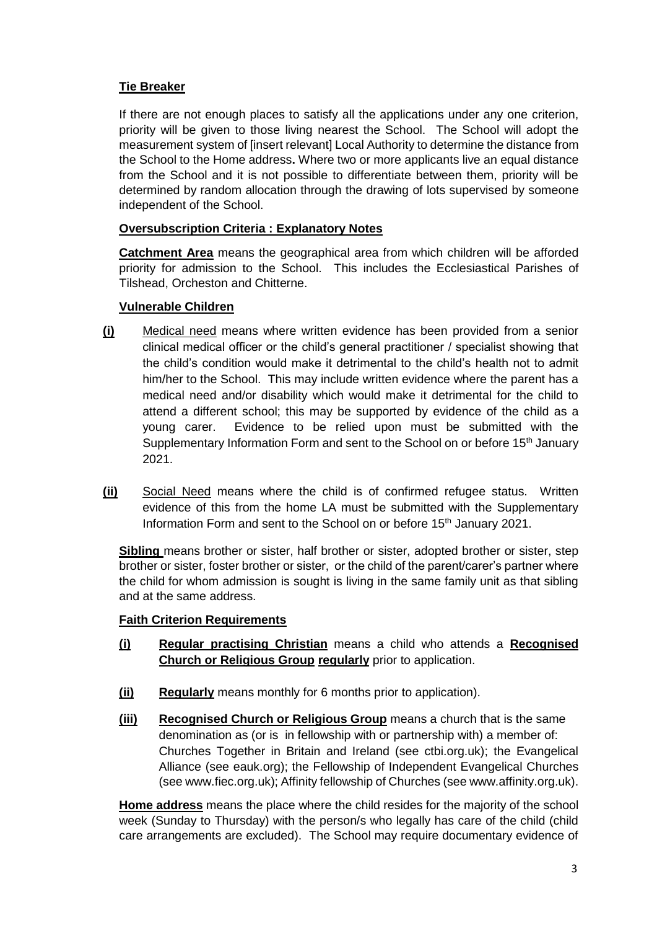### **Tie Breaker**

If there are not enough places to satisfy all the applications under any one criterion, priority will be given to those living nearest the School. The School will adopt the measurement system of [insert relevant] Local Authority to determine the distance from the School to the Home address**.** Where two or more applicants live an equal distance from the School and it is not possible to differentiate between them, priority will be determined by random allocation through the drawing of lots supervised by someone independent of the School.

#### **Oversubscription Criteria : Explanatory Notes**

**Catchment Area** means the geographical area from which children will be afforded priority for admission to the School. This includes the Ecclesiastical Parishes of Tilshead, Orcheston and Chitterne.

#### **Vulnerable Children**

- **(i)** Medical need means where written evidence has been provided from a senior clinical medical officer or the child's general practitioner / specialist showing that the child's condition would make it detrimental to the child's health not to admit him/her to the School. This may include written evidence where the parent has a medical need and/or disability which would make it detrimental for the child to attend a different school; this may be supported by evidence of the child as a young carer. Evidence to be relied upon must be submitted with the Supplementary Information Form and sent to the School on or before 15<sup>th</sup> January 2021.
- **(ii)** Social Need means where the child is of confirmed refugee status. Written evidence of this from the home LA must be submitted with the Supplementary Information Form and sent to the School on or before 15<sup>th</sup> January 2021.

**Sibling** means brother or sister, half brother or sister, adopted brother or sister, step brother or sister, foster brother or sister, or the child of the parent/carer's partner where the child for whom admission is sought is living in the same family unit as that sibling and at the same address.

#### **Faith Criterion Requirements**

- **(i) Regular practising Christian** means a child who attends a **Recognised Church or Religious Group regularly** prior to application.
- **(ii) Regularly** means monthly for 6 months prior to application).
- **(iii) Recognised Church or Religious Group** means a church that is the same denomination as (or is in fellowship with or partnership with) a member of: Churches Together in Britain and Ireland (see ctbi.org.uk); the Evangelical Alliance (see eauk.org); the Fellowship of Independent Evangelical Churches (see www.fiec.org.uk); Affinity fellowship of Churches (see www.affinity.org.uk).

**Home address** means the place where the child resides for the majority of the school week (Sunday to Thursday) with the person/s who legally has care of the child (child care arrangements are excluded). The School may require documentary evidence of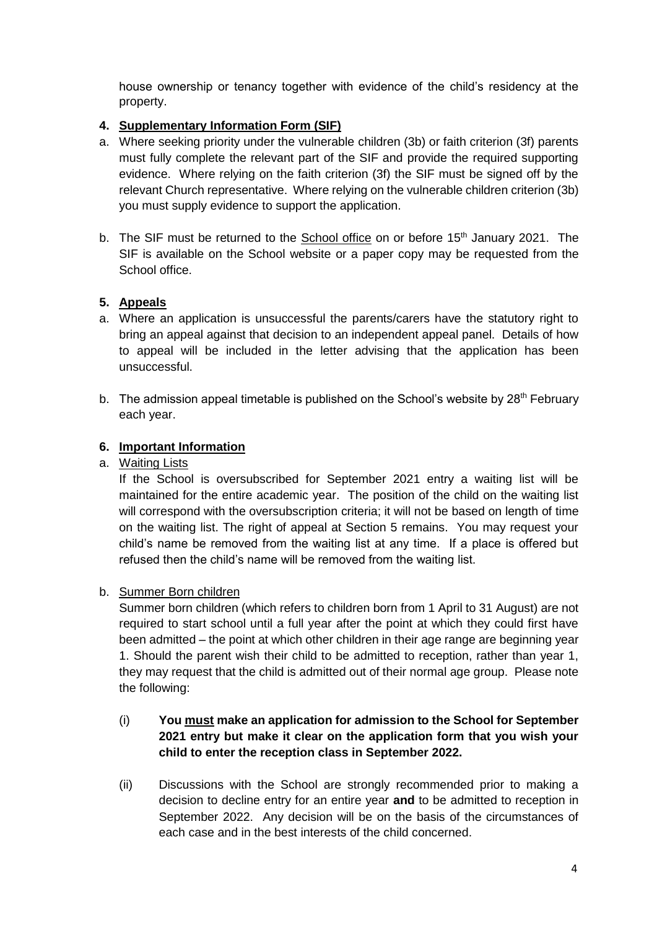house ownership or tenancy together with evidence of the child's residency at the property.

### **4. Supplementary Information Form (SIF)**

- a. Where seeking priority under the vulnerable children (3b) or faith criterion (3f) parents must fully complete the relevant part of the SIF and provide the required supporting evidence. Where relying on the faith criterion (3f) the SIF must be signed off by the relevant Church representative. Where relying on the vulnerable children criterion (3b) you must supply evidence to support the application.
- b. The SIF must be returned to the School office on or before 15<sup>th</sup> January 2021. The SIF is available on the School website or a paper copy may be requested from the School office.

#### **5. Appeals**

- a. Where an application is unsuccessful the parents/carers have the statutory right to bring an appeal against that decision to an independent appeal panel. Details of how to appeal will be included in the letter advising that the application has been unsuccessful.
- b. The admission appeal timetable is published on the School's website by  $28<sup>th</sup>$  February each year.

#### **6. Important Information**

a. Waiting Lists

If the School is oversubscribed for September 2021 entry a waiting list will be maintained for the entire academic year. The position of the child on the waiting list will correspond with the oversubscription criteria; it will not be based on length of time on the waiting list. The right of appeal at Section 5 remains. You may request your child's name be removed from the waiting list at any time. If a place is offered but refused then the child's name will be removed from the waiting list.

#### b. Summer Born children

Summer born children (which refers to children born from 1 April to 31 August) are not required to start school until a full year after the point at which they could first have been admitted – the point at which other children in their age range are beginning year 1. Should the parent wish their child to be admitted to reception, rather than year 1, they may request that the child is admitted out of their normal age group. Please note the following:

- (i) **You must make an application for admission to the School for September 2021 entry but make it clear on the application form that you wish your child to enter the reception class in September 2022.**
- (ii) Discussions with the School are strongly recommended prior to making a decision to decline entry for an entire year **and** to be admitted to reception in September 2022. Any decision will be on the basis of the circumstances of each case and in the best interests of the child concerned.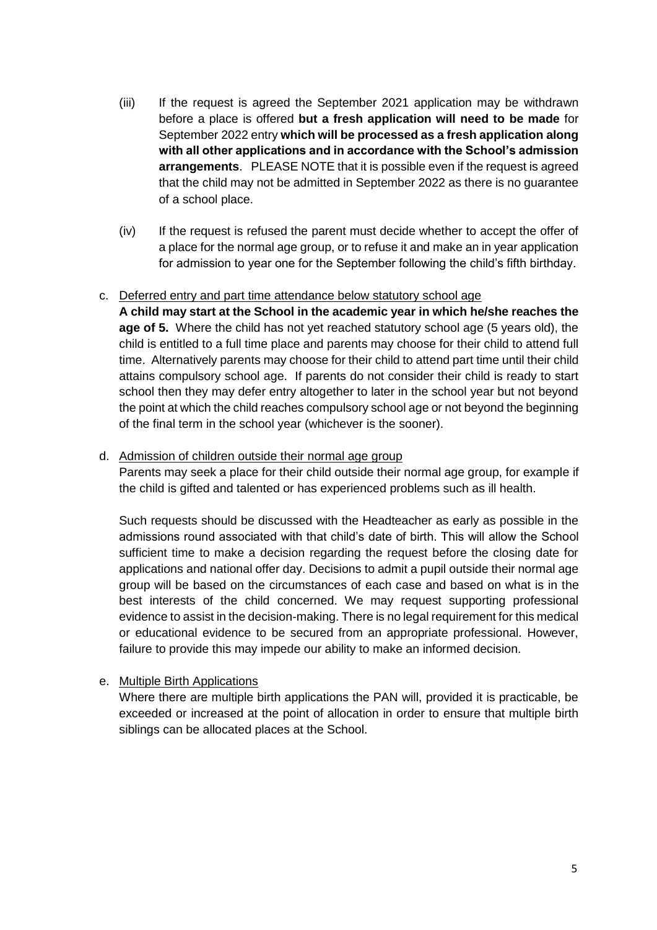- (iii) If the request is agreed the September 2021 application may be withdrawn before a place is offered **but a fresh application will need to be made** for September 2022 entry **which will be processed as a fresh application along with all other applications and in accordance with the School's admission arrangements**. PLEASE NOTE that it is possible even if the request is agreed that the child may not be admitted in September 2022 as there is no guarantee of a school place.
- (iv) If the request is refused the parent must decide whether to accept the offer of a place for the normal age group, or to refuse it and make an in year application for admission to year one for the September following the child's fifth birthday.

#### c. Deferred entry and part time attendance below statutory school age

**A child may start at the School in the academic year in which he/she reaches the age of 5.** Where the child has not yet reached statutory school age (5 years old), the child is entitled to a full time place and parents may choose for their child to attend full time. Alternatively parents may choose for their child to attend part time until their child attains compulsory school age. If parents do not consider their child is ready to start school then they may defer entry altogether to later in the school year but not beyond the point at which the child reaches compulsory school age or not beyond the beginning of the final term in the school year (whichever is the sooner).

#### d. Admission of children outside their normal age group

Parents may seek a place for their child outside their normal age group, for example if the child is gifted and talented or has experienced problems such as ill health.

Such requests should be discussed with the Headteacher as early as possible in the admissions round associated with that child's date of birth. This will allow the School sufficient time to make a decision regarding the request before the closing date for applications and national offer day. Decisions to admit a pupil outside their normal age group will be based on the circumstances of each case and based on what is in the best interests of the child concerned. We may request supporting professional evidence to assist in the decision-making. There is no legal requirement for this medical or educational evidence to be secured from an appropriate professional. However, failure to provide this may impede our ability to make an informed decision.

## e. Multiple Birth Applications

Where there are multiple birth applications the PAN will, provided it is practicable, be exceeded or increased at the point of allocation in order to ensure that multiple birth siblings can be allocated places at the School.